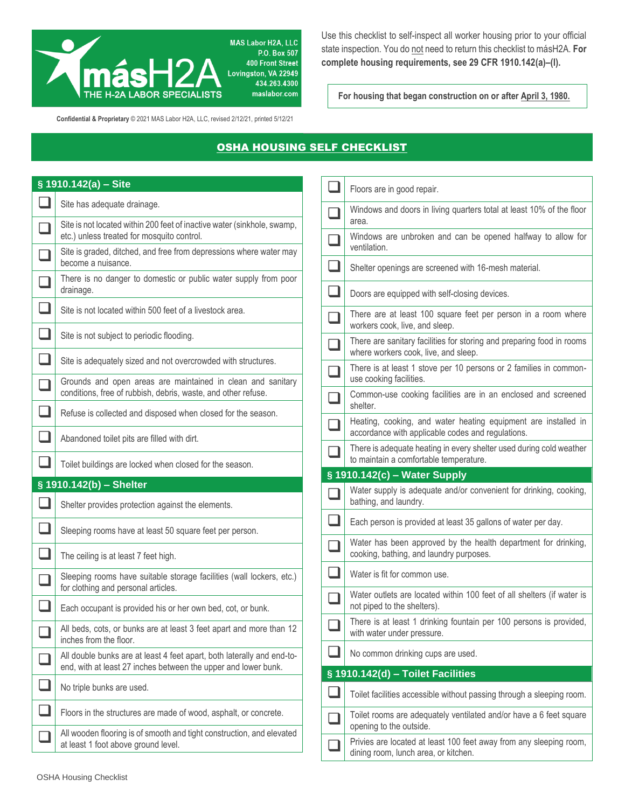

Use this checklist to self-inspect all worker housing prior to your official state inspection. You do not need to return this checklist to másH2A. **For complete housing requirements, see 29 CFR 1910.142(a)–(l).**

For housing that began construction on or after April 3, 1980.

**Confidential & Proprietary** © 2021 MAS Labor H2A, LLC, revised 2/12/21, printed 5/12/21

## **OSHA HOUSING SELF CHECKLIST**

|                             | $\sqrt{8}$ 1910.142(a) – Site                                                                                                            |                          |                                                                                                               |
|-----------------------------|------------------------------------------------------------------------------------------------------------------------------------------|--------------------------|---------------------------------------------------------------------------------------------------------------|
|                             |                                                                                                                                          |                          | Floors are in good repair.                                                                                    |
|                             | Site has adequate drainage.<br>Site is not located within 200 feet of inactive water (sinkhole, swamp,                                   |                          | Windows and doors in living quarters total at least 10% of the floor<br>area.                                 |
| ۰                           | etc.) unless treated for mosquito control.                                                                                               |                          | Windows are unbroken and can be opened halfway to allow for<br>ventilation.                                   |
|                             | Site is graded, ditched, and free from depressions where water may<br>become a nuisance.                                                 |                          | Shelter openings are screened with 16-mesh material.                                                          |
| ┓                           | There is no danger to domestic or public water supply from poor<br>drainage.                                                             |                          | Doors are equipped with self-closing devices.                                                                 |
| $\Box$                      | Site is not located within 500 feet of a livestock area.                                                                                 |                          | There are at least 100 square feet per person in a room where<br>workers cook, live, and sleep.               |
| $\mathcal{L}_{\mathcal{A}}$ | Site is not subject to periodic flooding.                                                                                                |                          | There are sanitary facilities for storing and preparing food in rooms                                         |
|                             | Site is adequately sized and not overcrowded with structures.                                                                            |                          | where workers cook, live, and sleep.                                                                          |
| $\mathcal{L}_{\mathcal{A}}$ | Grounds and open areas are maintained in clean and sanitary                                                                              |                          | There is at least 1 stove per 10 persons or 2 families in common-<br>use cooking facilities.                  |
|                             | conditions, free of rubbish, debris, waste, and other refuse.                                                                            | L.                       | Common-use cooking facilities are in an enclosed and screened<br>shelter.                                     |
| $\overline{\phantom{0}}$    | Refuse is collected and disposed when closed for the season.                                                                             |                          | Heating, cooking, and water heating equipment are installed in                                                |
| $\overline{\phantom{0}}$    | Abandoned toilet pits are filled with dirt.                                                                                              |                          | accordance with applicable codes and regulations.                                                             |
|                             | Toilet buildings are locked when closed for the season.                                                                                  |                          | There is adequate heating in every shelter used during cold weather<br>to maintain a comfortable temperature. |
|                             |                                                                                                                                          |                          | § 1910.142(c) - Water Supply                                                                                  |
|                             | § 1910.142(b) - Shelter<br>Shelter provides protection against the elements.                                                             |                          | Water supply is adequate and/or convenient for drinking, cooking,<br>bathing, and laundry.                    |
|                             | Sleeping rooms have at least 50 square feet per person.                                                                                  | $\overline{\phantom{0}}$ | Each person is provided at least 35 gallons of water per day.                                                 |
| $\Box$                      | The ceiling is at least 7 feet high.                                                                                                     | ┓                        | Water has been approved by the health department for drinking,<br>cooking, bathing, and laundry purposes.     |
| ┓                           | Sleeping rooms have suitable storage facilities (wall lockers, etc.)<br>for clothing and personal articles.                              |                          | Water is fit for common use.                                                                                  |
| $\mathcal{L}_{\mathcal{A}}$ | Each occupant is provided his or her own bed, cot, or bunk.                                                                              |                          | Water outlets are located within 100 feet of all shelters (if water is<br>not piped to the shelters).         |
| ר                           | All beds, cots, or bunks are at least 3 feet apart and more than 12<br>inches from the floor.                                            |                          | There is at least 1 drinking fountain per 100 persons is provided,<br>with water under pressure.              |
|                             | All double bunks are at least 4 feet apart, both laterally and end-to-<br>end, with at least 27 inches between the upper and lower bunk. |                          | No common drinking cups are used.                                                                             |
|                             |                                                                                                                                          |                          | § 1910.142(d) - Toilet Facilities                                                                             |
| ⊔                           | No triple bunks are used.                                                                                                                | H                        | Toilet facilities accessible without passing through a sleeping room.                                         |
|                             | Floors in the structures are made of wood, asphalt, or concrete.                                                                         |                          | Toilet rooms are adequately ventilated and/or have a 6 feet square<br>opening to the outside.                 |
|                             | All wooden flooring is of smooth and tight construction, and elevated<br>at least 1 foot above ground level.                             |                          | Privies are located at least 100 feet away from any sleeping room,<br>dining room, lunch area, or kitchen.    |